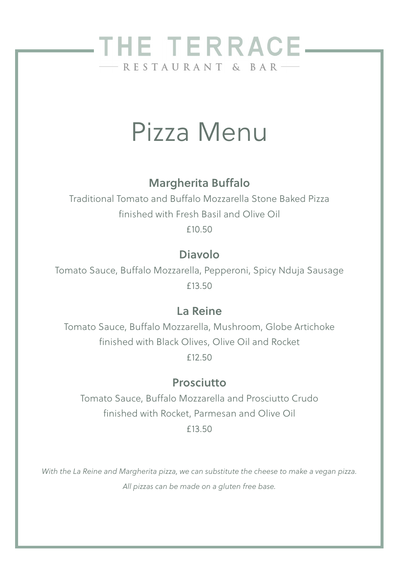# THE TERRACE-- RESTAURANT & BAR

# Pizza Menu

#### Margherita Buffalo

Traditional Tomato and Buffalo Mozzarella Stone Baked Pizza finished with Fresh Basil and Olive Oil

£10.50

#### Diavolo

Tomato Sauce, Buffalo Mozzarella, Pepperoni, Spicy Nduja Sausage £13.50

#### La Reine

Tomato Sauce, Buffalo Mozzarella, Mushroom, Globe Artichoke finished with Black Olives, Olive Oil and Rocket £12.50

#### Prosciutto

Tomato Sauce, Buffalo Mozzarella and Prosciutto Crudo finished with Rocket, Parmesan and Olive Oil £13.50

*With the La Reine and Margherita pizza, we can substitute the cheese to make a vegan pizza. All pizzas can be made on a gluten free base.*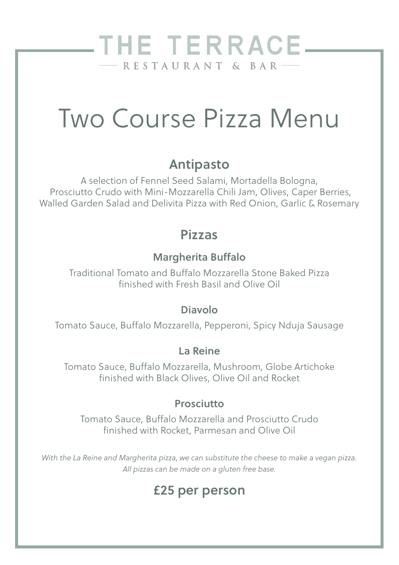## THE TERRACE\_  $-RESTAURANT & BAR$

# Two Course Pizza Menu

### Antipasto

A selection of Fennel Seed Salami, Mortadella Bologna, Prosciutto Crudo with Mini-Mozzarella Chili Jam, Olives, Caper Berries, Walled Garden Salad and Delivita Pizza with Red Onion, Garlic & Rosemary

#### Pizzas

#### Margherita Buffalo

Traditional Tomato and Buffalo Mozzarella Stone Baked Pizza finished with Fresh Basil and Olive Oil

#### Diavolo

Tomato Sauce, Buffalo Mozzarella, Pepperoni, Spicy Nduja Sausage

#### La Reine

Tomato Sauce, Buffalo Mozzarella, Mushroom, Globe Artichoke finished with Black Olives, Olive Oil and Rocket

#### Prosciutto

Tomato Sauce, Buffalo Mozzarella and Prosciutto Crudo finished with Rocket, Parmesan and Olive Oil

*With the La Reine and Margherita pizza, we can substitute the cheese to make a vegan pizza. All pizzas can be made on a gluten free base.*

## £25 per person